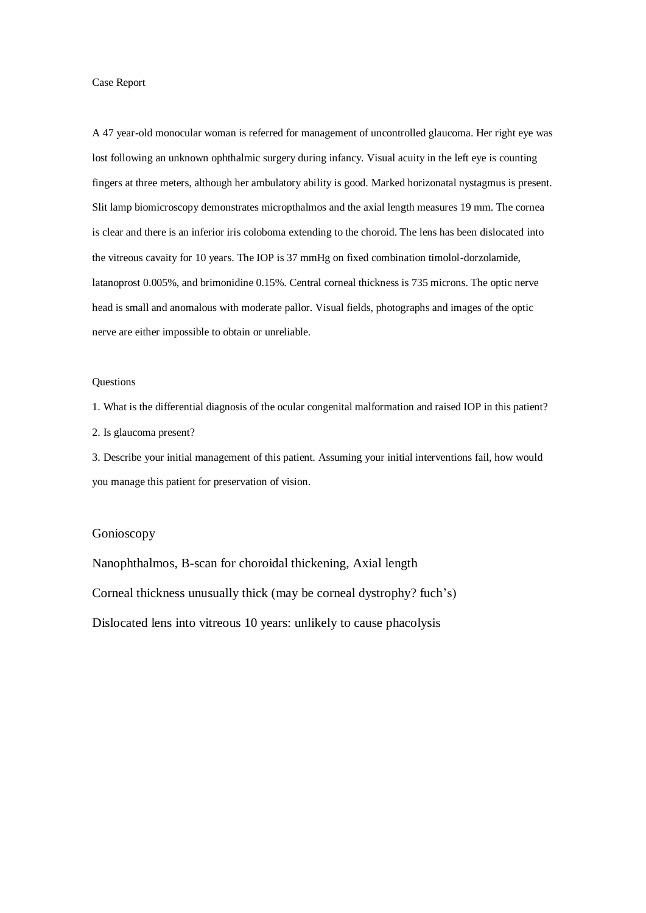A 47 year-old monocular woman is referred for management of uncontrolled glaucoma. Her right eye was lost following an unknown ophthalmic surgery during infancy. Visual acuity in the left eye is counting fingers at three meters, although her ambulatory ability is good. Marked horizonatal nystagmus is present. Slit lamp biomicroscopy demonstrates micropthalmos and the axial length measures 19 mm. The cornea is clear and there is an inferior iris coloboma extending to the choroid. The lens has been dislocated into the vitreous cavaity for 10 years. The IOP is 37 mmHg on fixed combination timolol-dorzolamide, latanoprost 0.005%, and brimonidine 0.15%. Central corneal thickness is 735 microns. The optic nerve head is small and anomalous with moderate pallor. Visual fields, photographs and images of the optic nerve are either impossible to obtain or unreliable.

## Questions

1. What is the differential diagnosis of the ocular congenital malformation and raised IOP in this patient? 2. Is glaucoma present?

3. Describe your initial management of this patient. Assuming your initial interventions fail, how would you manage this patient for preservation of vision.

## Gonioscopy

Nanophthalmos, B-scan for choroidal thickening, Axial length Corneal thickness unusually thick (may be corneal dystrophy? fuch's) Dislocated lens into vitreous 10 years: unlikely to cause phacolysis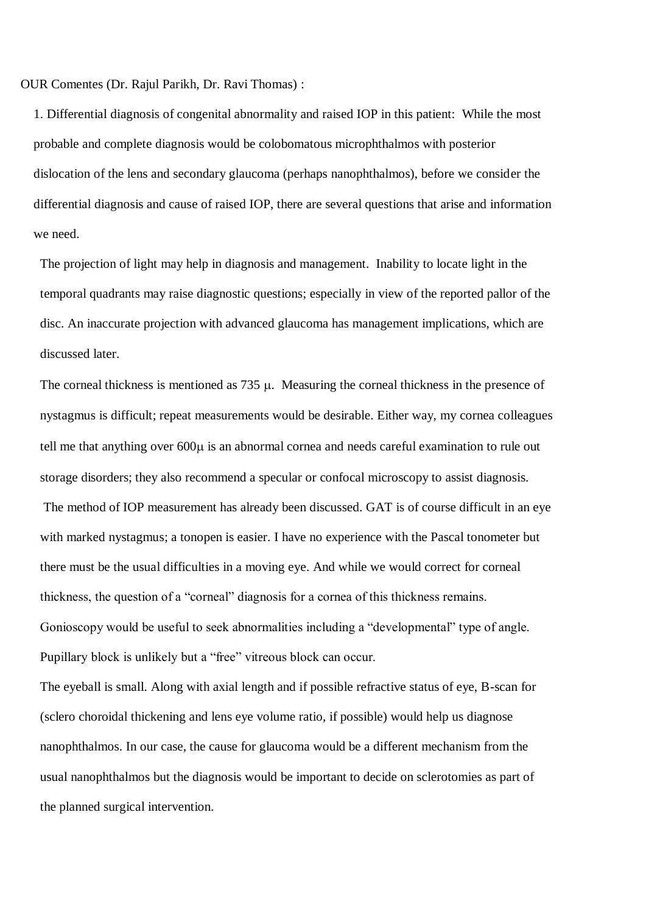OUR Comentes (Dr. Rajul Parikh, Dr. Ravi Thomas) :

1. Differential diagnosis of congenital abnormality and raised IOP in this patient: While the most probable and complete diagnosis would be colobomatous microphthalmos with posterior dislocation of the lens and secondary glaucoma (perhaps nanophthalmos), before we consider the differential diagnosis and cause of raised IOP, there are several questions that arise and information we need.

The projection of light may help in diagnosis and management. Inability to locate light in the temporal quadrants may raise diagnostic questions; especially in view of the reported pallor of the disc. An inaccurate projection with advanced glaucoma has management implications, which are discussed later.

The corneal thickness is mentioned as  $735 \mu$ . Measuring the corneal thickness in the presence of nystagmus is difficult; repeat measurements would be desirable. Either way, my cornea colleagues tell me that anything over  $600\mu$  is an abnormal cornea and needs careful examination to rule out storage disorders; they also recommend a specular or confocal microscopy to assist diagnosis. The method of IOP measurement has already been discussed. GAT is of course difficult in an eye with marked nystagmus; a tonopen is easier. I have no experience with the Pascal tonometer but there must be the usual difficulties in a moving eye. And while we would correct for corneal thickness, the question of a "corneal" diagnosis for a cornea of this thickness remains. Gonioscopy would be useful to seek abnormalities including a "developmental" type of angle. Pupillary block is unlikely but a "free" vitreous block can occur.

The eyeball is small. Along with axial length and if possible refractive status of eye, B-scan for (sclero choroidal thickening and lens eye volume ratio, if possible) would help us diagnose nanophthalmos. In our case, the cause for glaucoma would be a different mechanism from the usual nanophthalmos but the diagnosis would be important to decide on sclerotomies as part of the planned surgical intervention.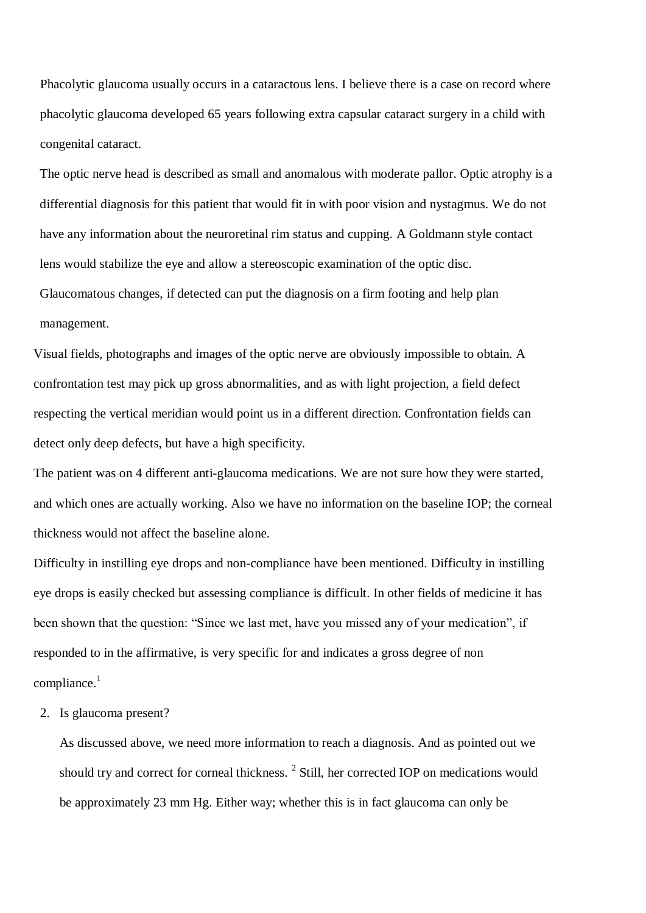Phacolytic glaucoma usually occurs in a cataractous lens. I believe there is a case on record where phacolytic glaucoma developed 65 years following extra capsular cataract surgery in a child with congenital cataract.

The optic nerve head is described as small and anomalous with moderate pallor. Optic atrophy is a differential diagnosis for this patient that would fit in with poor vision and nystagmus. We do not have any information about the neuroretinal rim status and cupping. A Goldmann style contact lens would stabilize the eye and allow a stereoscopic examination of the optic disc. Glaucomatous changes, if detected can put the diagnosis on a firm footing and help plan management.

Visual fields, photographs and images of the optic nerve are obviously impossible to obtain. A confrontation test may pick up gross abnormalities, and as with light projection, a field defect respecting the vertical meridian would point us in a different direction. Confrontation fields can detect only deep defects, but have a high specificity.

The patient was on 4 different anti-glaucoma medications. We are not sure how they were started, and which ones are actually working. Also we have no information on the baseline IOP; the corneal thickness would not affect the baseline alone.

Difficulty in instilling eye drops and non-compliance have been mentioned. Difficulty in instilling eye drops is easily checked but assessing compliance is difficult. In other fields of medicine it has been shown that the question: "Since we last met, have you missed any of your medication", if responded to in the affirmative, is very specific for and indicates a gross degree of non  $compliance.<sup>1</sup>$ 

2. Is glaucoma present?

As discussed above, we need more information to reach a diagnosis. And as pointed out we should try and correct for corneal thickness. <sup>2</sup> Still, her corrected IOP on medications would be approximately 23 mm Hg. Either way; whether this is in fact glaucoma can only be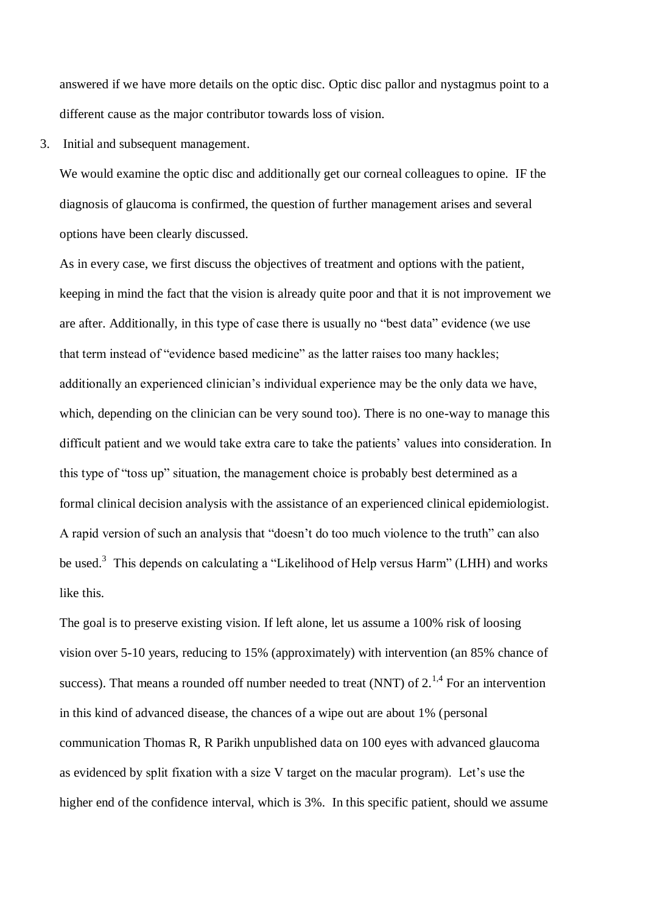answered if we have more details on the optic disc. Optic disc pallor and nystagmus point to a different cause as the major contributor towards loss of vision.

3. Initial and subsequent management.

We would examine the optic disc and additionally get our corneal colleagues to opine. IF the diagnosis of glaucoma is confirmed, the question of further management arises and several options have been clearly discussed.

As in every case, we first discuss the objectives of treatment and options with the patient, keeping in mind the fact that the vision is already quite poor and that it is not improvement we are after. Additionally, in this type of case there is usually no "best data" evidence (we use that term instead of "evidence based medicine" as the latter raises too many hackles; additionally an experienced clinician's individual experience may be the only data we have, which, depending on the clinician can be very sound too). There is no one-way to manage this difficult patient and we would take extra care to take the patients' values into consideration. In this type of "toss up" situation, the management choice is probably best determined as a formal clinical decision analysis with the assistance of an experienced clinical epidemiologist. A rapid version of such an analysis that "doesn't do too much violence to the truth" can also be used.<sup>3</sup> This depends on calculating a "Likelihood of Help versus Harm" (LHH) and works like this.

The goal is to preserve existing vision. If left alone, let us assume a 100% risk of loosing vision over 5-10 years, reducing to 15% (approximately) with intervention (an 85% chance of success). That means a rounded off number needed to treat (NNT) of  $2^{1,4}$  For an intervention in this kind of advanced disease, the chances of a wipe out are about 1% (personal communication Thomas R, R Parikh unpublished data on 100 eyes with advanced glaucoma as evidenced by split fixation with a size V target on the macular program). Let's use the higher end of the confidence interval, which is 3%. In this specific patient, should we assume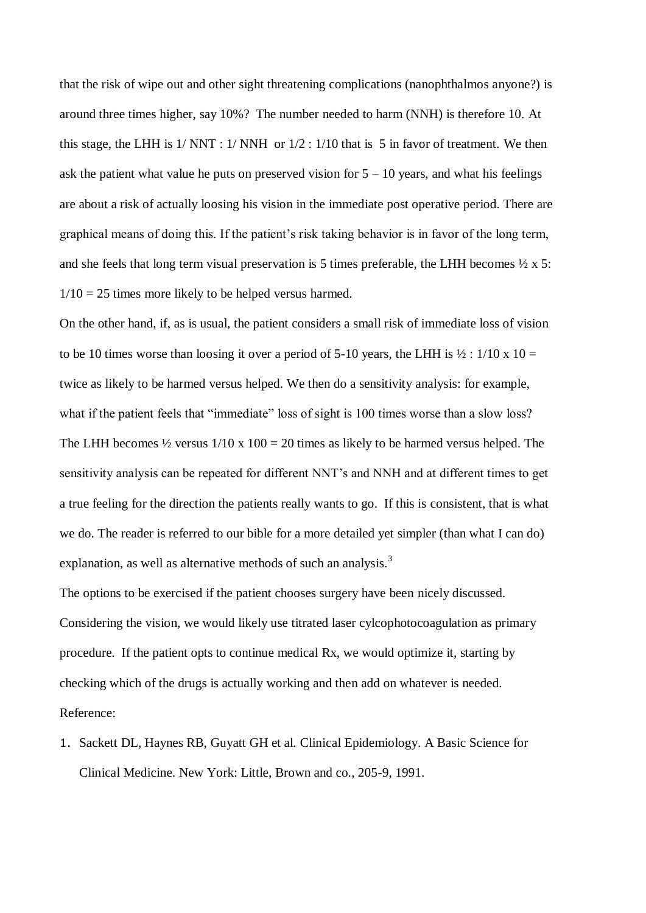that the risk of wipe out and other sight threatening complications (nanophthalmos anyone?) is around three times higher, say 10%? The number needed to harm (NNH) is therefore 10. At this stage, the LHH is  $1/NNT : 1/NNH$  or  $1/2 : 1/10$  that is 5 in favor of treatment. We then ask the patient what value he puts on preserved vision for  $5 - 10$  years, and what his feelings are about a risk of actually loosing his vision in the immediate post operative period. There are graphical means of doing this. If the patient's risk taking behavior is in favor of the long term, and she feels that long term visual preservation is 5 times preferable, the LHH becomes  $\frac{1}{2} \times 5$ :  $1/10 = 25$  times more likely to be helped versus harmed.

On the other hand, if, as is usual, the patient considers a small risk of immediate loss of vision to be 10 times worse than loosing it over a period of 5-10 years, the LHH is  $\frac{1}{2}$  : 1/10 x 10 = twice as likely to be harmed versus helped. We then do a sensitivity analysis: for example, what if the patient feels that "immediate" loss of sight is 100 times worse than a slow loss? The LHH becomes  $\frac{1}{2}$  versus  $1/10 \times 100 = 20$  times as likely to be harmed versus helped. The sensitivity analysis can be repeated for different NNT's and NNH and at different times to get a true feeling for the direction the patients really wants to go. If this is consistent, that is what we do. The reader is referred to our bible for a more detailed yet simpler (than what I can do) explanation, as well as alternative methods of such an analysis.<sup>3</sup>

The options to be exercised if the patient chooses surgery have been nicely discussed. Considering the vision, we would likely use titrated laser cylcophotocoagulation as primary procedure. If the patient opts to continue medical Rx, we would optimize it, starting by checking which of the drugs is actually working and then add on whatever is needed. Reference:

1. Sackett DL, Haynes RB, Guyatt GH et al. Clinical Epidemiology. A Basic Science for Clinical Medicine. New York: Little, Brown and co., 205-9, 1991.